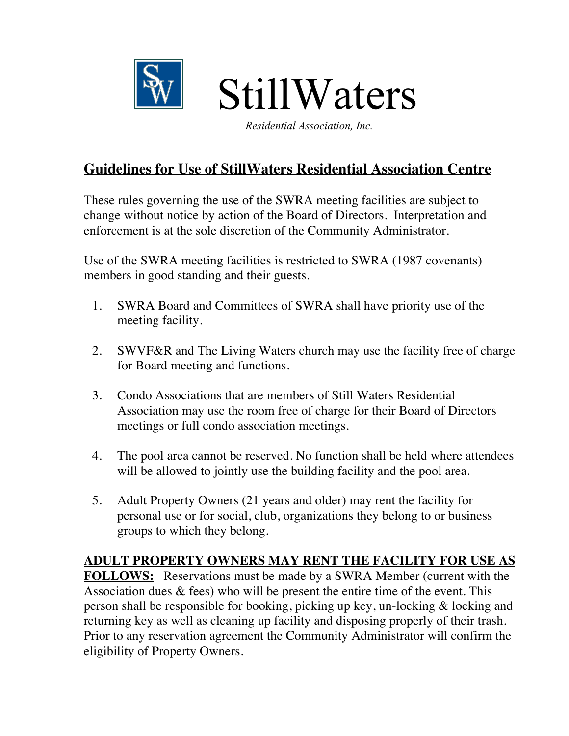

*Residential Association, Inc.*

# **Guidelines for Use of StillWaters Residential Association Centre**

These rules governing the use of the SWRA meeting facilities are subject to change without notice by action of the Board of Directors. Interpretation and enforcement is at the sole discretion of the Community Administrator.

Use of the SWRA meeting facilities is restricted to SWRA (1987 covenants) members in good standing and their guests.

- 1. SWRA Board and Committees of SWRA shall have priority use of the meeting facility.
- 2. SWVF&R and The Living Waters church may use the facility free of charge for Board meeting and functions.
- 3. Condo Associations that are members of Still Waters Residential Association may use the room free of charge for their Board of Directors meetings or full condo association meetings.
- 4. The pool area cannot be reserved. No function shall be held where attendees will be allowed to jointly use the building facility and the pool area.
- 5. Adult Property Owners (21 years and older) may rent the facility for personal use or for social, club, organizations they belong to or business groups to which they belong.

#### **ADULT PROPERTY OWNERS MAY RENT THE FACILITY FOR USE AS**

**FOLLOWS:** Reservations must be made by a SWRA Member (current with the Association dues  $\&$  fees) who will be present the entire time of the event. This person shall be responsible for booking, picking up key, un-locking & locking and returning key as well as cleaning up facility and disposing properly of their trash. Prior to any reservation agreement the Community Administrator will confirm the eligibility of Property Owners.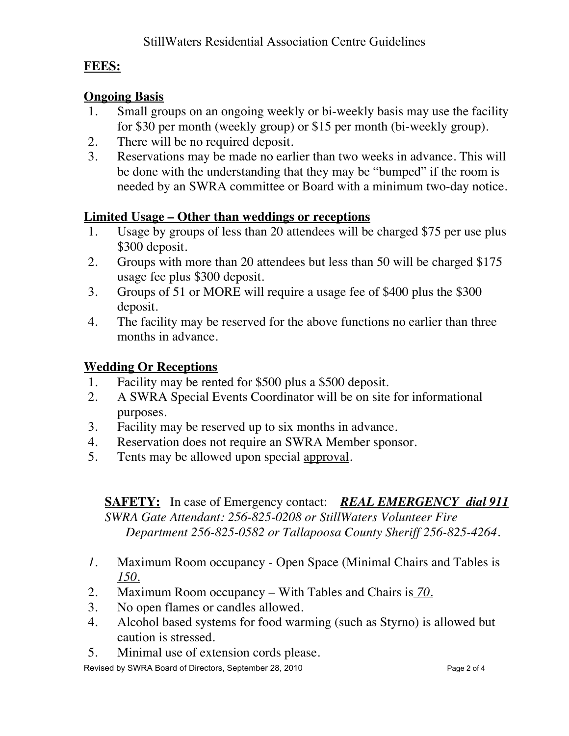### **FEES:**

### **Ongoing Basis**

- 1. Small groups on an ongoing weekly or bi-weekly basis may use the facility for \$30 per month (weekly group) or \$15 per month (bi-weekly group).
- 2. There will be no required deposit.
- 3. Reservations may be made no earlier than two weeks in advance. This will be done with the understanding that they may be "bumped" if the room is needed by an SWRA committee or Board with a minimum two-day notice.

## **Limited Usage – Other than weddings or receptions**

- 1. Usage by groups of less than 20 attendees will be charged \$75 per use plus \$300 deposit.
- 2. Groups with more than 20 attendees but less than 50 will be charged \$175 usage fee plus \$300 deposit.
- 3. Groups of 51 or MORE will require a usage fee of \$400 plus the \$300 deposit.
- 4. The facility may be reserved for the above functions no earlier than three months in advance.

# **Wedding Or Receptions**

- 1. Facility may be rented for \$500 plus a \$500 deposit.
- 2. A SWRA Special Events Coordinator will be on site for informational purposes.
- 3. Facility may be reserved up to six months in advance.
- 4. Reservation does not require an SWRA Member sponsor.
- 5. Tents may be allowed upon special approval.

#### **SAFETY:** In case of Emergency contact: *REAL EMERGENCY dial 911 SWRA Gate Attendant: 256-825-0208 or StillWaters Volunteer Fire Department 256-825-0582 or Tallapoosa County Sheriff 256-825-4264.*

- *1.* Maximum Room occupancy Open Space (Minimal Chairs and Tables is *150.*
- 2. Maximum Room occupancy With Tables and Chairs is *70.*
- 3. No open flames or candles allowed.
- 4. Alcohol based systems for food warming (such as Styrno) is allowed but caution is stressed.
- 5. Minimal use of extension cords please.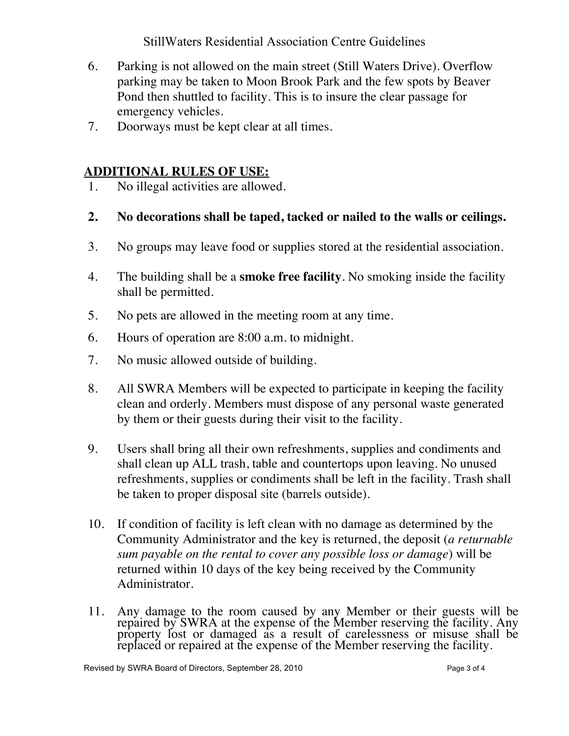StillWaters Residential Association Centre Guidelines

- 6. Parking is not allowed on the main street (Still Waters Drive). Overflow parking may be taken to Moon Brook Park and the few spots by Beaver Pond then shuttled to facility. This is to insure the clear passage for emergency vehicles.
- 7. Doorways must be kept clear at all times.

#### **ADDITIONAL RULES OF USE:**

- 1. No illegal activities are allowed.
- **2. No decorations shall be taped, tacked or nailed to the walls or ceilings.**
- 3. No groups may leave food or supplies stored at the residential association.
- 4. The building shall be a **smoke free facility**. No smoking inside the facility shall be permitted.
- 5. No pets are allowed in the meeting room at any time.
- 6. Hours of operation are 8:00 a.m. to midnight.
- 7. No music allowed outside of building.
- 8. All SWRA Members will be expected to participate in keeping the facility clean and orderly. Members must dispose of any personal waste generated by them or their guests during their visit to the facility.
- 9. Users shall bring all their own refreshments, supplies and condiments and shall clean up ALL trash, table and countertops upon leaving. No unused refreshments, supplies or condiments shall be left in the facility. Trash shall be taken to proper disposal site (barrels outside).
- 10. If condition of facility is left clean with no damage as determined by the Community Administrator and the key is returned, the deposit (*a returnable sum payable on the rental to cover any possible loss or damage*) will be returned within 10 days of the key being received by the Community Administrator.
- 11. Any damage to the room caused by any Member or their guests will be repaired by SWRA at the expense of the Member reserving the facility. Any property lost or damaged as a result of carelessness or misuse shall be replaced or repaired at the expense of the Member reserving the facility.